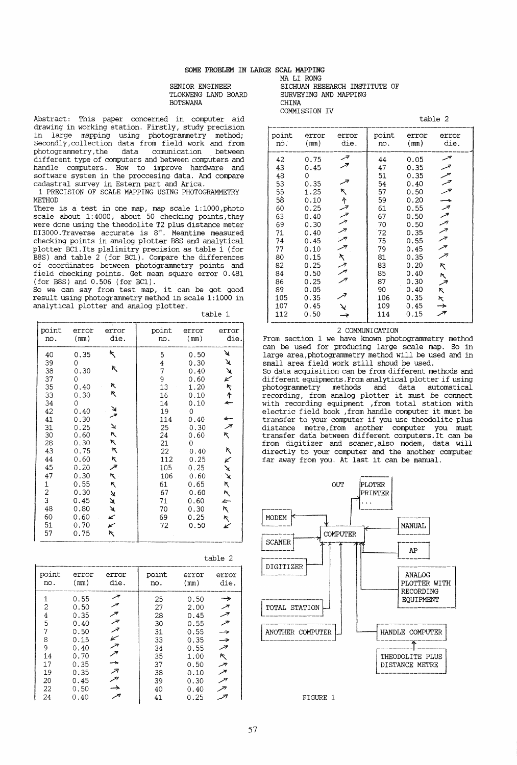SENIOR ENGINEER TLOKWENG LAND BOARD BOTSWANA

Abstract: This paper concerned in computer aid drawing in working station. Firstly, study precision in large mapping using photogrammetry method; Secondly,collection data from field work and from photogrammetry , the data comunication between different type of computers and between computers and handle computers. How to improve hardware and software system in the proccesing data. And compare cadastral survey in Estern part and Arica.

1 PRECISION OF SCALE MAPPING USING PHOTOGRAMMETRY **METHOD** 

There is a test in one map, map scale 1:1000,photo scale about 1:4000, about 50 checking points, they were done using the theodolite T2 plus distance meter were done using the theodolite T2 plus distance meter DI3000. Traverse accurate is 8". Meantime measured checking points in analog plotter B8S and analytical plotter BC1.Its plalimitry precision as table 1 (for B8S) and table 2 (for BC1). Compare the differences of coordinates between photogrammetry points and field checking points. Get mean square error 0.481 (for B8S) and 0.506 (for BC1).

So we can say from test map, it can be got good result using photogrammetry method in scale  $1:1000$  in analytical plotter and analog plotter.

| point                                                                                                                                                          | error                                                                                                                                                                       | error                                                                                                    | point                                                                                                                            | error                                                                                                                                                                  | error                                                                                                                                          |
|----------------------------------------------------------------------------------------------------------------------------------------------------------------|-----------------------------------------------------------------------------------------------------------------------------------------------------------------------------|----------------------------------------------------------------------------------------------------------|----------------------------------------------------------------------------------------------------------------------------------|------------------------------------------------------------------------------------------------------------------------------------------------------------------------|------------------------------------------------------------------------------------------------------------------------------------------------|
| no.                                                                                                                                                            | (mm)                                                                                                                                                                        | die.                                                                                                     | no.                                                                                                                              | (mm)                                                                                                                                                                   | die.                                                                                                                                           |
| 40<br>39<br>38<br>37<br>35<br>33.<br>34<br>42<br>41<br>31<br>30<br>28<br>43<br>44<br>45<br>47<br>1<br>$\overline{c}$<br>$\overline{3}$<br>48<br>60<br>51<br>57 | 0.35<br>0<br>0.30<br>0<br>0.40<br>0.30<br>0<br>0.40<br>0.30<br>0.25<br>0.60<br>0.30<br>0.75<br>0.60<br>0.20<br>0.30<br>0.55<br>0.30<br>0.45<br>0.80<br>0.60<br>0.70<br>0.75 | ↖<br>K,<br>ĸ<br>ĸ<br>ريا<br>پور<br>↘<br>R<br>K<br>٣<br>K<br>جر<br>A.<br>κ,<br>×<br>A<br>Ã<br>Ł<br>¥<br>K | 5<br>4<br>7<br>9<br>13<br>16<br>14<br>19<br>114<br>25<br>24<br>21<br>22<br>112<br>105<br>106<br>61<br>67<br>71<br>70<br>69<br>72 | 0.50<br>0.30<br>0.40<br>0.60<br>1.20<br>0.10<br>0.10<br>0<br>0.40<br>0.30<br>0.60<br>0<br>0.40<br>0.25<br>0.25<br>0.60<br>0.65<br>0.60<br>0.60<br>0.30<br>0.25<br>0.50 | ¥<br>¥<br>$\frac{1}{k}$<br>٢<br>$\uparrow$<br>4<br>$\overbrace{z}^*$<br>₹.<br>Ŋ<br>¥<br>↘<br>$\mathbf{\hat{X}}$<br>π.<br>٨<br>Ł<br>$k\times k$ |

| point                                                                      | error                                                                                                | error                    | point                                                                      | error                                                                                                | error                                                                |
|----------------------------------------------------------------------------|------------------------------------------------------------------------------------------------------|--------------------------|----------------------------------------------------------------------------|------------------------------------------------------------------------------------------------------|----------------------------------------------------------------------|
| no.                                                                        | (mm)                                                                                                 | die.                     | no.                                                                        | (mm)                                                                                                 | die.                                                                 |
| 1<br>2<br>$\frac{4}{5}$<br>7<br>8<br>9<br>14<br>17<br>19<br>20<br>22<br>24 | 0.55<br>0.50<br>0.35<br>0.40<br>0.50<br>0.15<br>0.40<br>0.70<br>0.35<br>0.35<br>0.45<br>0.50<br>0.40 | سر<br>تر<br>↙<br>↗<br>جر | 25<br>27<br>28<br>30<br>31<br>33<br>34<br>35<br>37<br>38<br>39<br>40<br>41 | 0.50<br>2.00<br>0.45<br>0.55<br>0.55<br>0.35<br>0.55<br>1.00<br>0.50<br>0.10<br>0.30<br>0.40<br>0.25 | $\rightarrow$<br>جر<br>حر<br>→<br>$\rightarrow$<br>سر<br>ĸ<br>ァ<br>y |

MA LI RONG SICHUAN RESEARCH INSTITUTE OF SURVEYING AND MAPPING CHINA COMMISSION IV

|                                                                                                                         |                                                                                                                                                           |                                      | table 2                                                                                                                 |                                                                                                                                                              |                                                                                              |  |
|-------------------------------------------------------------------------------------------------------------------------|-----------------------------------------------------------------------------------------------------------------------------------------------------------|--------------------------------------|-------------------------------------------------------------------------------------------------------------------------|--------------------------------------------------------------------------------------------------------------------------------------------------------------|----------------------------------------------------------------------------------------------|--|
| point<br>no.                                                                                                            | error<br>(mm)                                                                                                                                             | error<br>die.                        | point<br>no.                                                                                                            | error<br>(mm)                                                                                                                                                | error<br>die.                                                                                |  |
| 42<br>43<br>48<br>53<br>55<br>58<br>60<br>63<br>69<br>71<br>74<br>77<br>80<br>82<br>84<br>86<br>89<br>105<br>107<br>112 | 0.75<br>0.45<br>0<br>0.35<br>1.25<br>0.10<br>0.25<br>0.40<br>0.30<br>0.40<br>0.45<br>0.10<br>0.15<br>0.25<br>0.50<br>0.25<br>0.05<br>0.35<br>0.45<br>0.50 | جر<br>اتر<br>جر<br>トイファク クック<br>ヘノクァ | 44<br>47<br>51<br>54<br>57<br>59<br>61<br>67<br>70<br>72<br>75<br>79<br>81<br>83<br>85<br>87<br>90<br>106<br>109<br>114 | 0.05<br>0.35<br>0.35<br>0.40<br>0.50<br>0.20<br>0.55<br>0.50<br>0.50<br>0.35<br>0.55<br>0.45<br>0.35<br>0.20<br>0.40<br>0.30<br>0.40<br>0.35<br>0.45<br>0.15 | احسه<br>ファファ コフフファファ<br>$\overline{\mathscr{E}}$<br>$\bar{\mathcal{N}}$<br>へ<br>×,<br>K<br>→ |  |

## 2 COMMUNICATION

From section 1 we have known photogrammetry method can be used for producing large scale map. So in large area, photogrammetry method will be used and in small area field work still shoud be used. So data acquisition can be from different methods and different equipments.From analytical plotter if using photogrammetry methods and data automatical recording, from analog plotter it must be connect with recording equipment ,from total station with electric field book ,from handle computer it must be transfer to your computer if you use theodolite plus distance metre,from another computer you must transfer data between different computers.It can be from digitizer and scaner, also modem, data will directly to your computer and the another computer far away from you. At last it can be manual.

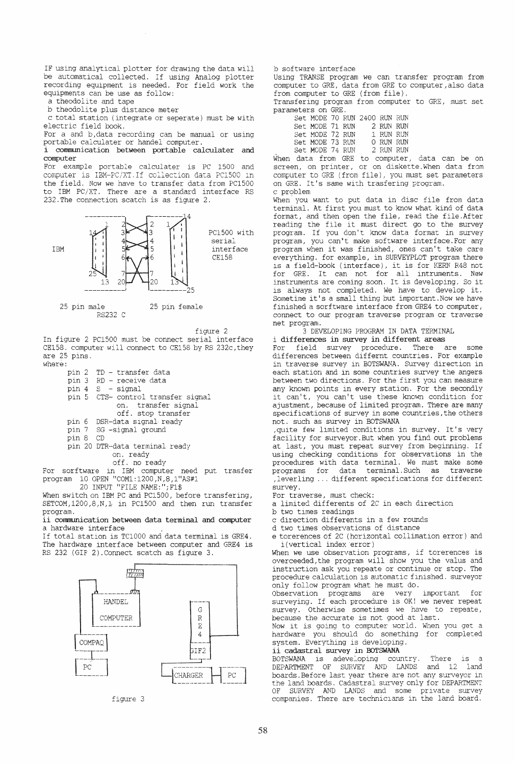IF using analytical plotter for drawing the data will be automatical collected. If using Analog plotter recording equlpment is needed. For field work the equipments can be use as follow: a theodolite and tape

b theodolite plus distance meter

c total station (integrate or seperate) must be with electric field book.

For a and b, data recording can be manual or using portable calculater or handel computer.

i communication between portable calculater and computer

For example portable calculater is PC 1500 and **COINTRACT IS IBM-PC/XT. If collection data PC1500 in** the field. Now we have to transfer data from PC1500 to IBM PC/XT. There are a standard interface RS 232.The connection scatch is as figure 2.



figure 2

In figure 2 PC1500 must be connect serial interface CE158. computer will connect to CE158 by RS 232c, they are 25 pins. where:

| TD - transfer data                 |  |  |  |  |  |
|------------------------------------|--|--|--|--|--|
| pin 3 RD - receive data            |  |  |  |  |  |
| pin 4 S - signal                   |  |  |  |  |  |
| pin 5 CTS- control transfer signal |  |  |  |  |  |
| on. transfer signal                |  |  |  |  |  |
| off, stop transfer                 |  |  |  |  |  |
| pin 6 DSR-data signal ready        |  |  |  |  |  |
| pin 7 SG -signal ground            |  |  |  |  |  |
| pin 8 CD                           |  |  |  |  |  |
| pin 20 DTR-data terminal ready     |  |  |  |  |  |
| on. ready                          |  |  |  |  |  |
| off. no ready                      |  |  |  |  |  |
|                                    |  |  |  |  |  |

For sorftware in IBM computer need put trasfer program 10 OPEN "COM1:1200,N,8,1"AS#1 20 INPUT "FILE NAME:";Fl\$

When switch on IBM PC and PC1500, before transfering, SETCOM,1200,8,N,l in PC1500 and then run transfer program.

ii communication between data terminal and computer a hardware interface

If total station is TC1000 and data terminal is GRE4. The hardware interface between computer and GRE4 is RS 232 (GIF 2). Connect scatch as figure 3.



figure 3

## b software interface

Using TRANSE program we can transfer program from computer to GRE, data from GRE to computer/also data from computer to GRE (from file).

Transfering program from computer to GRE, must set parameters on GRE.

| Set MODE 70 RUN 2400 RUN RUN |  |           |  |
|------------------------------|--|-----------|--|
| Set MODE 71 RUN              |  | 2 RUN RUN |  |
| Set MODE 72 RUN              |  | 1 RUN RUN |  |
| Set MODE 73 RUN              |  | 0 RUN RUN |  |
| Set MODE 74 RUN              |  | 2 RUN RUN |  |

When data from GRE to computer, data can be on screen, on printer, or on diskette. When data from computer to GRE (from file), you must set parameters on GRE. It's same with trasfering program. c problem

When you want to put data in disc file from data terminal. At first you must to know what kind of data format, and then open the file, read the file. After reading the file it must direct go to the survey program. If you don't know data format in survey program, you can't make software interface. For any program when it was finished, ones can't take care everything. for example, in SURVEYPLOT program there is a field-book (interface), it is for KERN R48 not for GRE. It can not for all intruments. New instruments are coming soon. It is developing. So it is always not completed. We have to develop it. Sometime it's a small thing but important. Now we have finished a sorftware interface from GRE4 to computer, connect to our program traverse program or traverse net program.

3 DEVELOPING PROGRAM IN DATA TERMINAL<br>i differences in survey in different areas

For field survey procedure. There are some differences between differnt countries. For example in traverse survey in BOTSWANA. Survey direction in each station and in some countries survey the angers<br>between two directions. For the first you can measure any known points in every station. For the secondly it can't, you can't use these known condition for ajustment, because of limited program. There are many specifications of survey in some countries, the others not. such as survey in BOTSWANA

quite few limited conditions in survey. It's very facility for surveyor.But when you find out problems at last, you must repeat survey from beginning. If using checking conditions for observations in the procedures with data terminal. We must make some<br>programs for data terminal. Such as traverse<br>, leverling ... different specifications for different survey.<br>For traverse, must check:

a limited differents of 2C in each direction

b two times readings<br>c direction differents in a few rounds<br>d two times observations of distance

e torerences of 2C (horizontal collimation error) and i(vertical index error)

When we use observation programs, if torerences is overceeded,the program will show you the valus and instruction ask you repeate or continue or stop. The procedure calculation is automatic finished. surveyor

only follow program what he must do.<br>Observation programs are very important Observation programs are very important for surveying. If each procedure is OK! we never repeat survey. Otherwise sometimes we have to repeate, because the accurate is not good at last.

Now it is going to computer world. When you get a hardware you should do something for completed system. Everything is developing.

## ii cadastral survey in BOTSWANA.

BOTSWANA is adeveloping country. There is a DEPARTMENT OF SURVEY AND LANDS and 12 land boards. Before last year there are not any surveyor in the land boards. Cadastral survey only for DEPARTMENT SURVEY AND LANDS and some private survey companies. There are technicians in the land board.